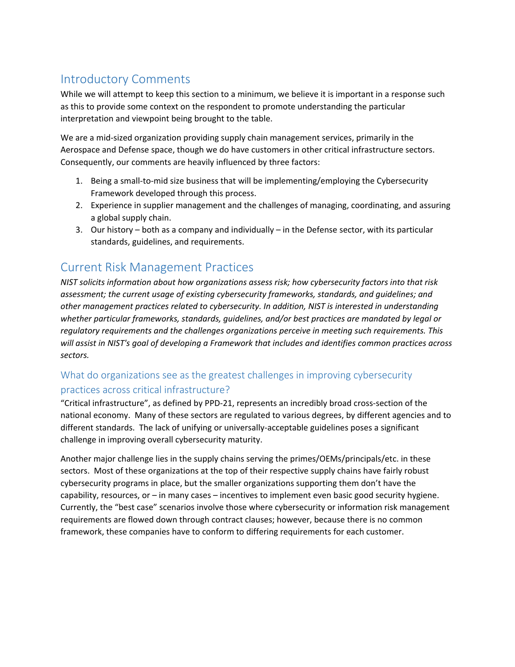# Introductory Comments

While we will attempt to keep this section to a minimum, we believe it is important in a response such as this to provide some context on the respondent to promote understanding the particular interpretation and viewpoint being brought to the table.

We are a mid-sized organization providing supply chain management services, primarily in the Aerospace and Defense space, though we do have customers in other critical infrastructure sectors. Consequently, our comments are heavily influenced by three factors:

- 1. Being a small-to-mid size business that will be implementing/employing the Cybersecurity Framework developed through this process.
- 2. Experience in supplier management and the challenges of managing, coordinating, and assuring a global supply chain.
- 3. Our history both as a company and individually in the Defense sector, with its particular standards, guidelines, and requirements.

# Current Risk Management Practices

*NIST solicits information about how organizations assess risk; how cybersecurity factors into that risk assessment; the current usage of existing cybersecurity frameworks, standards, and guidelines; and other management practices related to cybersecurity. In addition, NIST is interested in understanding whether particular frameworks, standards, guidelines, and/or best practices are mandated by legal or regulatory requirements and the challenges organizations perceive in meeting such requirements. This will assist in NIST's goal of developing a Framework that includes and identifies common practices across sectors.*

### What do organizations see as the greatest challenges in improving cybersecurity practices across critical infrastructure?

"Critical infrastructure", as defined by PPD-21, represents an incredibly broad cross-section of the national economy. Many of these sectors are regulated to various degrees, by different agencies and to different standards. The lack of unifying or universally-acceptable guidelines poses a significant challenge in improving overall cybersecurity maturity.

Another major challenge lies in the supply chains serving the primes/OEMs/principals/etc. in these sectors. Most of these organizations at the top of their respective supply chains have fairly robust cybersecurity programs in place, but the smaller organizations supporting them don't have the capability, resources, or – in many cases – incentives to implement even basic good security hygiene. Currently, the "best case" scenarios involve those where cybersecurity or information risk management requirements are flowed down through contract clauses; however, because there is no common framework, these companies have to conform to differing requirements for each customer.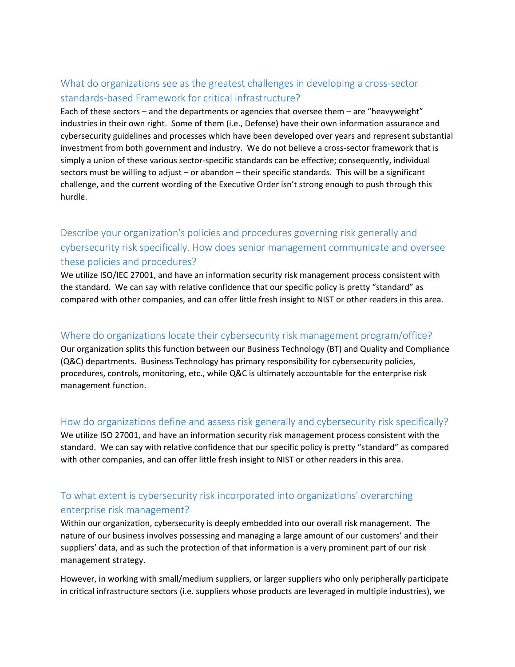### What do organizations see as the greatest challenges in developing a cross-sector standards-based Framework for critical infrastructure?

Each of these sectors – and the departments or agencies that oversee them – are "heavyweight" industries in their own right. Some of them (i.e., Defense) have their own information assurance and cybersecurity guidelines and processes which have been developed over years and represent substantial investment from both government and industry. We do not believe a cross-sector framework that is simply a union of these various sector-specific standards can be effective; consequently, individual sectors must be willing to adjust – or abandon – their specific standards. This will be a significant challenge, and the current wording of the Executive Order isn't strong enough to push through this hurdle.

## Describe your organization's policies and procedures governing risk generally and cybersecurity risk specifically. How does senior management communicate and oversee these policies and procedures?

We utilize ISO/IEC 27001, and have an information security risk management process consistent with the standard. We can say with relative confidence that our specific policy is pretty "standard" as compared with other companies, and can offer little fresh insight to NIST or other readers in this area.

#### Where do organizations locate their cybersecurity risk management program/office?

Our organization splits this function between our Business Technology (BT) and Quality and Compliance (Q&C) departments. Business Technology has primary responsibility for cybersecurity policies, procedures, controls, monitoring, etc., while Q&C is ultimately accountable for the enterprise risk management function.

#### How do organizations define and assess risk generally and cybersecurity risk specifically?

We utilize ISO 27001, and have an information security risk management process consistent with the standard. We can say with relative confidence that our specific policy is pretty "standard" as compared with other companies, and can offer little fresh insight to NIST or other readers in this area.

### To what extent is cybersecurity risk incorporated into organizations' overarching enterprise risk management?

Within our organization, cybersecurity is deeply embedded into our overall risk management. The nature of our business involves possessing and managing a large amount of our customers' and their suppliers' data, and as such the protection of that information is a very prominent part of our risk management strategy.

However, in working with small/medium suppliers, or larger suppliers who only peripherally participate in critical infrastructure sectors (i.e. suppliers whose products are leveraged in multiple industries), we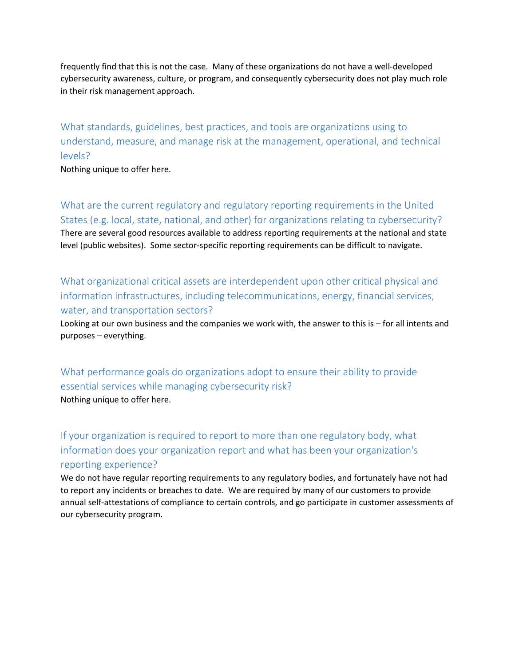frequently find that this is not the case. Many of these organizations do not have a well-developed cybersecurity awareness, culture, or program, and consequently cybersecurity does not play much role in their risk management approach.

What standards, guidelines, best practices, and tools are organizations using to understand, measure, and manage risk at the management, operational, and technical levels?

Nothing unique to offer here.

What are the current regulatory and regulatory reporting requirements in the United States (e.g. local, state, national, and other) for organizations relating to cybersecurity? There are several good resources available to address reporting requirements at the national and state level (public websites). Some sector-specific reporting requirements can be difficult to navigate.

What organizational critical assets are interdependent upon other critical physical and information infrastructures, including telecommunications, energy, financial services, water, and transportation sectors?

Looking at our own business and the companies we work with, the answer to this is – for all intents and purposes – everything.

What performance goals do organizations adopt to ensure their ability to provide essential services while managing cybersecurity risk? Nothing unique to offer here.

If your organization is required to report to more than one regulatory body, what information does your organization report and what has been your organization's reporting experience?

We do not have regular reporting requirements to any regulatory bodies, and fortunately have not had to report any incidents or breaches to date. We are required by many of our customers to provide annual self-attestations of compliance to certain controls, and go participate in customer assessments of our cybersecurity program.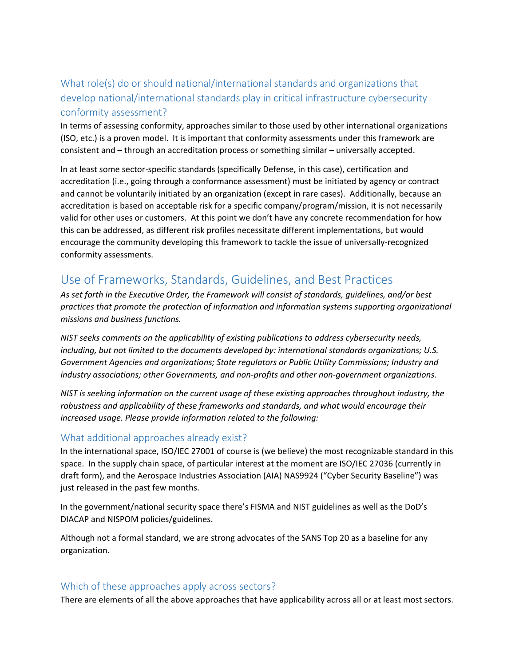## What role(s) do or should national/international standards and organizations that develop national/international standards play in critical infrastructure cybersecurity conformity assessment?

In terms of assessing conformity, approaches similar to those used by other international organizations (ISO, etc.) is a proven model. It is important that conformity assessments under this framework are consistent and – through an accreditation process or something similar – universally accepted.

In at least some sector-specific standards (specifically Defense, in this case), certification and accreditation (i.e., going through a conformance assessment) must be initiated by agency or contract and cannot be voluntarily initiated by an organization (except in rare cases). Additionally, because an accreditation is based on acceptable risk for a specific company/program/mission, it is not necessarily valid for other uses or customers. At this point we don't have any concrete recommendation for how this can be addressed, as different risk profiles necessitate different implementations, but would encourage the community developing this framework to tackle the issue of universally-recognized conformity assessments.

# Use of Frameworks, Standards, Guidelines, and Best Practices

*As set forth in the Executive Order, the Framework will consist of standards, guidelines, and/or best practices that promote the protection of information and information systems supporting organizational missions and business functions.*

*NIST seeks comments on the applicability of existing publications to address cybersecurity needs, including, but not limited to the documents developed by: international standards organizations; U.S. Government Agencies and organizations; State regulators or Public Utility Commissions; Industry and industry associations; other Governments, and non-profits and other non-government organizations.*

*NIST is seeking information on the current usage of these existing approaches throughout industry, the robustness and applicability of these frameworks and standards, and what would encourage their increased usage. Please provide information related to the following:*

#### What additional approaches already exist?

In the international space, ISO/IEC 27001 of course is (we believe) the most recognizable standard in this space. In the supply chain space, of particular interest at the moment are ISO/IEC 27036 (currently in draft form), and the Aerospace Industries Association (AIA) NAS9924 ("Cyber Security Baseline") was just released in the past few months.

In the government/national security space there's FISMA and NIST guidelines as well as the DoD's DIACAP and NISPOM policies/guidelines.

Although not a formal standard, we are strong advocates of the SANS Top 20 as a baseline for any organization.

#### Which of these approaches apply across sectors?

There are elements of all the above approaches that have applicability across all or at least most sectors.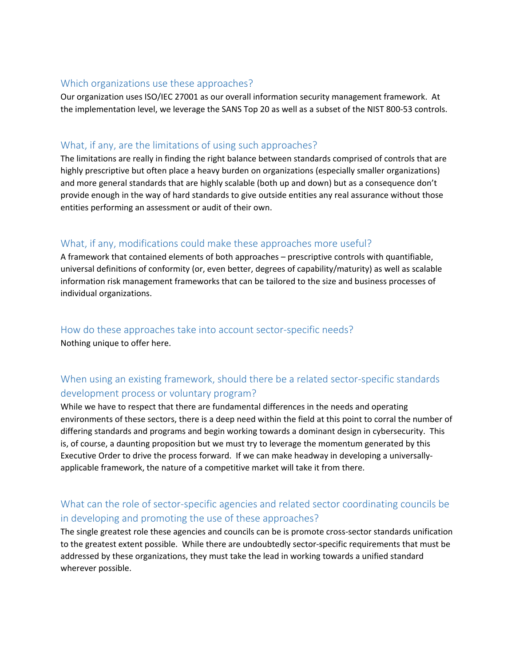#### Which organizations use these approaches?

Our organization uses ISO/IEC 27001 as our overall information security management framework. At the implementation level, we leverage the SANS Top 20 as well as a subset of the NIST 800-53 controls.

#### What, if any, are the limitations of using such approaches?

The limitations are really in finding the right balance between standards comprised of controls that are highly prescriptive but often place a heavy burden on organizations (especially smaller organizations) and more general standards that are highly scalable (both up and down) but as a consequence don't provide enough in the way of hard standards to give outside entities any real assurance without those entities performing an assessment or audit of their own.

#### What, if any, modifications could make these approaches more useful?

A framework that contained elements of both approaches – prescriptive controls with quantifiable, universal definitions of conformity (or, even better, degrees of capability/maturity) as well as scalable information risk management frameworks that can be tailored to the size and business processes of individual organizations.

How do these approaches take into account sector-specific needs? Nothing unique to offer here.

### When using an existing framework, should there be a related sector-specific standards development process or voluntary program?

While we have to respect that there are fundamental differences in the needs and operating environments of these sectors, there is a deep need within the field at this point to corral the number of differing standards and programs and begin working towards a dominant design in cybersecurity. This is, of course, a daunting proposition but we must try to leverage the momentum generated by this Executive Order to drive the process forward. If we can make headway in developing a universallyapplicable framework, the nature of a competitive market will take it from there.

### What can the role of sector-specific agencies and related sector coordinating councils be in developing and promoting the use of these approaches?

The single greatest role these agencies and councils can be is promote cross-sector standards unification to the greatest extent possible. While there are undoubtedly sector-specific requirements that must be addressed by these organizations, they must take the lead in working towards a unified standard wherever possible.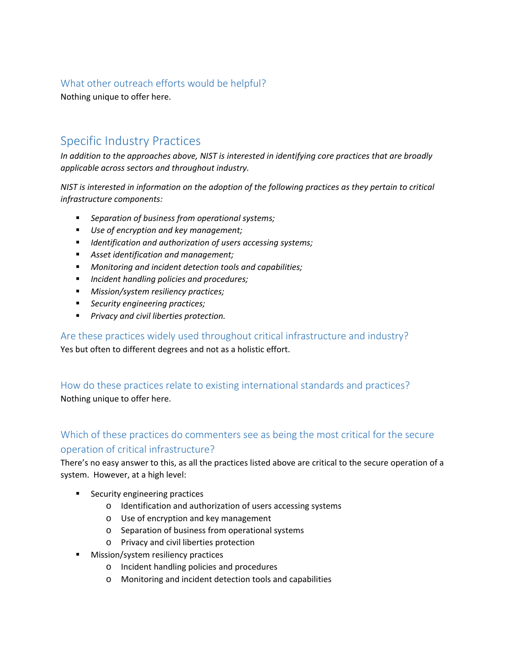#### What other outreach efforts would be helpful?

Nothing unique to offer here.

# Specific Industry Practices

*In addition to the approaches above, NIST is interested in identifying core practices that are broadly applicable across sectors and throughout industry.*

*NIST is interested in information on the adoption of the following practices as they pertain to critical infrastructure components:*

- *Separation of business from operational systems;*
- *Use of encryption and key management;*
- *Identification and authorization of users accessing systems;*
- *Asset identification and management;*
- *Monitoring and incident detection tools and capabilities;*
- *Incident handling policies and procedures;*
- *Mission/system resiliency practices;*
- *Security engineering practices;*
- *Privacy and civil liberties protection.*

Are these practices widely used throughout critical infrastructure and industry? Yes but often to different degrees and not as a holistic effort.

How do these practices relate to existing international standards and practices? Nothing unique to offer here.

### Which of these practices do commenters see as being the most critical for the secure operation of critical infrastructure?

There's no easy answer to this, as all the practices listed above are critical to the secure operation of a system. However, at a high level:

- **Security engineering practices** 
	- o Identification and authorization of users accessing systems
	- o Use of encryption and key management
	- o Separation of business from operational systems
	- o Privacy and civil liberties protection
- Mission/system resiliency practices
	- o Incident handling policies and procedures
	- o Monitoring and incident detection tools and capabilities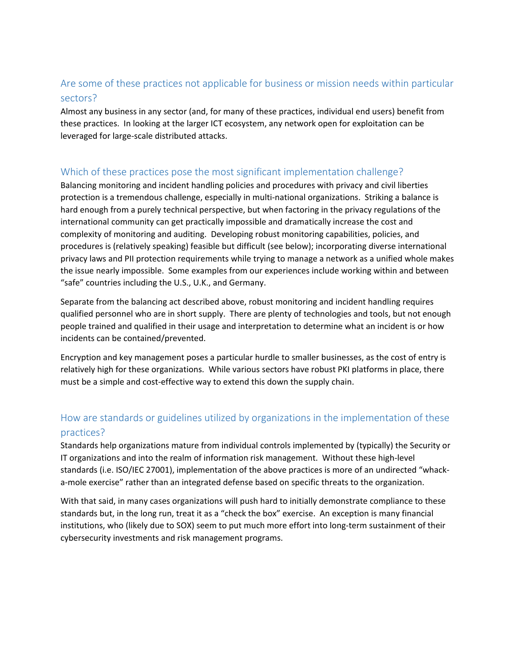#### Are some of these practices not applicable for business or mission needs within particular sectors?

Almost any business in any sector (and, for many of these practices, individual end users) benefit from these practices. In looking at the larger ICT ecosystem, any network open for exploitation can be leveraged for large-scale distributed attacks.

#### Which of these practices pose the most significant implementation challenge?

Balancing monitoring and incident handling policies and procedures with privacy and civil liberties protection is a tremendous challenge, especially in multi-national organizations. Striking a balance is hard enough from a purely technical perspective, but when factoring in the privacy regulations of the international community can get practically impossible and dramatically increase the cost and complexity of monitoring and auditing. Developing robust monitoring capabilities, policies, and procedures is (relatively speaking) feasible but difficult (see below); incorporating diverse international privacy laws and PII protection requirements while trying to manage a network as a unified whole makes the issue nearly impossible. Some examples from our experiences include working within and between "safe" countries including the U.S., U.K., and Germany.

Separate from the balancing act described above, robust monitoring and incident handling requires qualified personnel who are in short supply. There are plenty of technologies and tools, but not enough people trained and qualified in their usage and interpretation to determine what an incident is or how incidents can be contained/prevented.

Encryption and key management poses a particular hurdle to smaller businesses, as the cost of entry is relatively high for these organizations. While various sectors have robust PKI platforms in place, there must be a simple and cost-effective way to extend this down the supply chain.

## How are standards or guidelines utilized by organizations in the implementation of these practices?

Standards help organizations mature from individual controls implemented by (typically) the Security or IT organizations and into the realm of information risk management. Without these high-level standards (i.e. ISO/IEC 27001), implementation of the above practices is more of an undirected "whacka-mole exercise" rather than an integrated defense based on specific threats to the organization.

With that said, in many cases organizations will push hard to initially demonstrate compliance to these standards but, in the long run, treat it as a "check the box" exercise. An exception is many financial institutions, who (likely due to SOX) seem to put much more effort into long-term sustainment of their cybersecurity investments and risk management programs.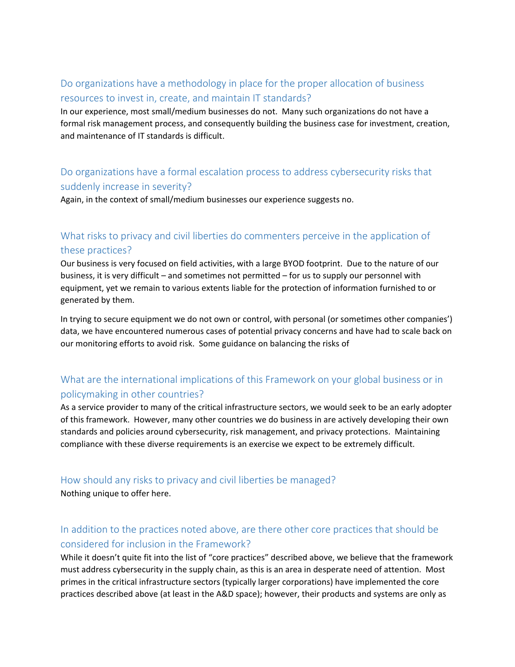### Do organizations have a methodology in place for the proper allocation of business resources to invest in, create, and maintain IT standards?

In our experience, most small/medium businesses do not. Many such organizations do not have a formal risk management process, and consequently building the business case for investment, creation, and maintenance of IT standards is difficult.

### Do organizations have a formal escalation process to address cybersecurity risks that suddenly increase in severity?

Again, in the context of small/medium businesses our experience suggests no.

### What risks to privacy and civil liberties do commenters perceive in the application of these practices?

Our business is very focused on field activities, with a large BYOD footprint. Due to the nature of our business, it is very difficult – and sometimes not permitted – for us to supply our personnel with equipment, yet we remain to various extents liable for the protection of information furnished to or generated by them.

In trying to secure equipment we do not own or control, with personal (or sometimes other companies') data, we have encountered numerous cases of potential privacy concerns and have had to scale back on our monitoring efforts to avoid risk. Some guidance on balancing the risks of

### What are the international implications of this Framework on your global business or in policymaking in other countries?

As a service provider to many of the critical infrastructure sectors, we would seek to be an early adopter of this framework. However, many other countries we do business in are actively developing their own standards and policies around cybersecurity, risk management, and privacy protections. Maintaining compliance with these diverse requirements is an exercise we expect to be extremely difficult.

#### How should any risks to privacy and civil liberties be managed?

Nothing unique to offer here.

### In addition to the practices noted above, are there other core practices that should be considered for inclusion in the Framework?

While it doesn't quite fit into the list of "core practices" described above, we believe that the framework must address cybersecurity in the supply chain, as this is an area in desperate need of attention. Most primes in the critical infrastructure sectors (typically larger corporations) have implemented the core practices described above (at least in the A&D space); however, their products and systems are only as